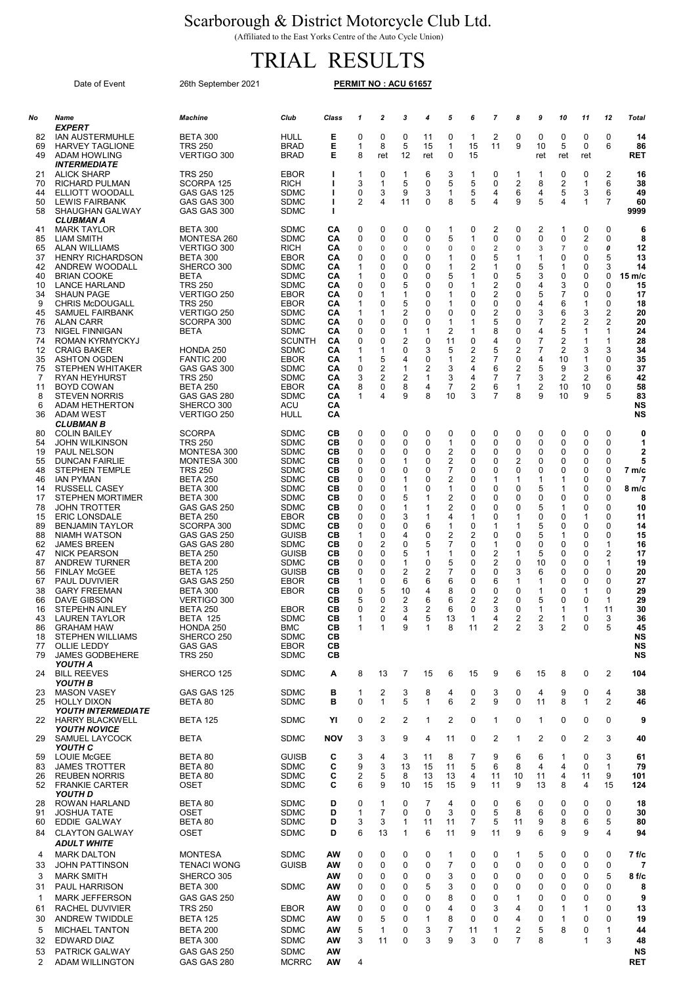## Scarborough & District Motorcycle Club Ltd.

(Affiliated to the East Yorks Centre of the Auto Cycle Union)

## TRIAL RESULTS

|                                                                                                                                                          | Date of Event                                                                                                                                                                                                                                                                                                                                                                                                                                                                                                                                                                                                                               | 26th September 2021                                                                                                                                                                                                                                                                                                                                                                                                                           |                                                                                                                                                                                                                                                                                                                                                    |                                                                                                                                                          |                                                                                                            |                                                                                                                    |                                                                                                             |                                                                                                            |                                                                                                                                              |                                                                                                             |                                                                                                                                    |                                                                                                                     |                                                                                                                                     |                                                                                                            |                                                                                                                     |                                                                                                                           |                                                                                                                                                                                                    |
|----------------------------------------------------------------------------------------------------------------------------------------------------------|---------------------------------------------------------------------------------------------------------------------------------------------------------------------------------------------------------------------------------------------------------------------------------------------------------------------------------------------------------------------------------------------------------------------------------------------------------------------------------------------------------------------------------------------------------------------------------------------------------------------------------------------|-----------------------------------------------------------------------------------------------------------------------------------------------------------------------------------------------------------------------------------------------------------------------------------------------------------------------------------------------------------------------------------------------------------------------------------------------|----------------------------------------------------------------------------------------------------------------------------------------------------------------------------------------------------------------------------------------------------------------------------------------------------------------------------------------------------|----------------------------------------------------------------------------------------------------------------------------------------------------------|------------------------------------------------------------------------------------------------------------|--------------------------------------------------------------------------------------------------------------------|-------------------------------------------------------------------------------------------------------------|------------------------------------------------------------------------------------------------------------|----------------------------------------------------------------------------------------------------------------------------------------------|-------------------------------------------------------------------------------------------------------------|------------------------------------------------------------------------------------------------------------------------------------|---------------------------------------------------------------------------------------------------------------------|-------------------------------------------------------------------------------------------------------------------------------------|------------------------------------------------------------------------------------------------------------|---------------------------------------------------------------------------------------------------------------------|---------------------------------------------------------------------------------------------------------------------------|----------------------------------------------------------------------------------------------------------------------------------------------------------------------------------------------------|
| No                                                                                                                                                       | Name                                                                                                                                                                                                                                                                                                                                                                                                                                                                                                                                                                                                                                        | Machine                                                                                                                                                                                                                                                                                                                                                                                                                                       | Club                                                                                                                                                                                                                                                                                                                                               | Class                                                                                                                                                    | 1                                                                                                          | $\overline{\mathbf{c}}$                                                                                            | 3                                                                                                           | 4                                                                                                          | 5                                                                                                                                            | 6                                                                                                           | $\overline{7}$                                                                                                                     | 8                                                                                                                   | 9                                                                                                                                   | 10                                                                                                         | 11                                                                                                                  | 12                                                                                                                        | Total                                                                                                                                                                                              |
| 82<br>69<br>49                                                                                                                                           | <i><b>EXPERT</b></i><br><b>IAN AUSTERMUHLE</b><br><b>HARVEY TAGLIONE</b><br>ADAM HOWLING                                                                                                                                                                                                                                                                                                                                                                                                                                                                                                                                                    | <b>BETA 300</b><br><b>TRS 250</b><br><b>VERTIGO 300</b>                                                                                                                                                                                                                                                                                                                                                                                       | HULL<br><b>BRAD</b><br><b>BRAD</b>                                                                                                                                                                                                                                                                                                                 | Е<br>Е<br>Е                                                                                                                                              | 0<br>1<br>8                                                                                                | 0<br>8<br>ret                                                                                                      | 0<br>5<br>12                                                                                                | 11<br>15<br>ret                                                                                            | 0<br>$\mathbf{1}$<br>0                                                                                                                       | $\mathbf{1}$<br>15<br>15                                                                                    | 2<br>11                                                                                                                            | 0<br>9                                                                                                              | 0<br>10<br>ret                                                                                                                      | 0<br>5<br>ret                                                                                              | 0<br>0<br>ret                                                                                                       | 0<br>6                                                                                                                    | 14<br>86<br>RET                                                                                                                                                                                    |
| 21<br>70<br>44<br>50<br>58                                                                                                                               | <i><b>INTERMEDIATE</b></i><br><b>ALICK SHARP</b><br><b>RICHARD PULMAN</b><br>ELLIOTT WOODALL<br><b>LEWIS FAIRBANK</b><br><b>SHAUGHAN GALWAY</b>                                                                                                                                                                                                                                                                                                                                                                                                                                                                                             | <b>TRS 250</b><br>SCORPA 125<br>GAS GAS 125<br>GAS GAS 300<br>GAS GAS 300                                                                                                                                                                                                                                                                                                                                                                     | EBOR<br><b>RICH</b><br>SDMC<br><b>SDMC</b><br><b>SDMC</b>                                                                                                                                                                                                                                                                                          | J.<br>T<br>ı<br>J.<br>T                                                                                                                                  | 1<br>3<br>0<br>2                                                                                           | 0<br>$\mathbf 1$<br>3<br>4                                                                                         | 1<br>5<br>9<br>11                                                                                           | 6<br>0<br>3<br>0                                                                                           | 3<br>5<br>1<br>8                                                                                                                             | $\mathbf 1$<br>5<br>5<br>5                                                                                  | 0<br>0<br>4<br>4                                                                                                                   | $\mathbf 1$<br>2<br>6<br>9                                                                                          | 1<br>8<br>4<br>5                                                                                                                    | 0<br>2<br>5<br>4                                                                                           | 0<br>1<br>3<br>1                                                                                                    | 2<br>6<br>6<br>7                                                                                                          | 16<br>38<br>49<br>60<br>9999                                                                                                                                                                       |
| 41<br>85<br>65<br>37<br>42<br>40<br>10<br>34<br>9<br>45<br>76<br>73<br>74<br>12<br>35<br>75<br>7<br>11<br>8<br>6                                         | CLUBMAN A<br><b>MARK TAYLOR</b><br>LIAM SMITH<br>ALAN WILLIAMS<br><b>HENRY RICHARDSON</b><br>ANDREW WOODALL<br><b>BRIAN COOKE</b><br><b>LANCE HARLAND</b><br>SHAUN PAGE<br><b>CHRIS McDOUGALL</b><br><b>SAMUEL FAIRBANK</b><br>ALAN CARR<br>NIGEL FINNIGAN<br>ROMAN KYRMYCKYJ<br><b>CRAIG BAKER</b><br>ASHTON OGDEN<br><b>STEPHEN WHITAKER</b><br>RYAN HEYHURST<br><b>BOYD COWAN</b><br><b>STEVEN NORRIS</b><br><b>ADAM HETHERTON</b>                                                                                                                                                                                                       | <b>BETA 300</b><br>MONTESA 260<br><b>VERTIGO 300</b><br><b>BETA 300</b><br>SHERCO 300<br><b>BETA</b><br><b>TRS 250</b><br>VERTIGO 250<br><b>TRS 250</b><br><b>VERTIGO 250</b><br>SCORPA 300<br>BETA<br>HONDA 250<br>FANTIC 200<br>GAS GAS 300<br><b>TRS 250</b><br><b>BETA 250</b><br>GAS GAS 280<br>SHERCO 300                                                                                                                               | SDMC<br><b>SDMC</b><br><b>RICH</b><br><b>EBOR</b><br><b>SDMC</b><br><b>SDMC</b><br><b>SDMC</b><br>EBOR<br>EBOR<br><b>SDMC</b><br><b>SDMC</b><br><b>SDMC</b><br><b>SCUNTH</b><br><b>SDMC</b><br>EBOR<br><b>SDMC</b><br><b>SDMC</b><br><b>EBOR</b><br><b>SDMC</b><br>ACU                                                                             | CА<br>CА<br>CА<br>CА<br>CА<br>CА<br>CА<br>CА<br>CА<br>CА<br>CА<br>CА<br>CА<br>CА<br>CА<br>CА<br>CА<br>CА<br>CА<br>CА                                     | 0<br>0<br>0<br>0<br>1<br>1<br>0<br>0<br>1<br>1<br>0<br>0<br>0<br>1<br>1<br>0<br>3<br>8<br>1                | 0<br>0<br>0<br>0<br>0<br>0<br>0<br>1<br>0<br>1<br>0<br>0<br>0<br>$\mathbf 1$<br>5<br>$\overline{2}$<br>2<br>0<br>4 | $\mathbf 0$<br>0<br>0<br>0<br>0<br>0<br>5<br>1<br>5<br>2<br>0<br>1<br>2<br>0<br>4<br>1<br>2<br>8<br>9       | 0<br>0<br>0<br>0<br>0<br>0<br>0<br>0<br>0<br>0<br>0<br>1<br>0<br>3<br>0<br>2<br>1<br>4<br>8                | $\mathbf{1}$<br>5<br>0<br>$\mathbf{1}$<br>$\mathbf{1}$<br>5<br>0<br>1<br>1<br>0<br>1<br>2<br>11<br>5<br>-1<br>3<br>3<br>$\overline{7}$<br>10 | $\mathbf 0$<br>1<br>0<br>0<br>2<br>1<br>1<br>0<br>0<br>0<br>1<br>1<br>0<br>2<br>2<br>4<br>4<br>2<br>3       | 2<br>0<br>$\overline{2}$<br>5<br>1<br>0<br>2<br>2<br>0<br>2<br>5<br>8<br>4<br>5<br>7<br>6<br>$\overline{7}$<br>6<br>$\overline{7}$ | 0<br>0<br>0<br>$\mathbf{1}$<br>0<br>5<br>0<br>0<br>0<br>0<br>0<br>0<br>0<br>2<br>0<br>2<br>$\overline{7}$<br>1<br>8 | 2<br>0<br>3<br>1<br>5<br>3<br>4<br>5<br>4<br>3<br>$\overline{7}$<br>4<br>$\overline{7}$<br>$\overline{7}$<br>4<br>5<br>3<br>2<br>9  | 1<br>0<br>7<br>0<br>1<br>0<br>3<br>7<br>6<br>6<br>2<br>5<br>2<br>2<br>10<br>9<br>2<br>10<br>10             | 0<br>$\overline{2}$<br>$\mathbf 0$<br>0<br>0<br>0<br>0<br>0<br>1<br>3<br>2<br>1<br>1<br>3<br>1<br>3<br>2<br>10<br>9 | 0<br>0<br>0<br>5<br>3<br>0<br>0<br>0<br>0<br>2<br>2<br>1<br>1<br>3<br>0<br>0<br>6<br>0<br>5                               | 6<br>8<br>12<br>13<br>14<br>15 m/c<br>15<br>17<br>18<br>20<br>20<br>24<br>28<br>34<br>35<br>37<br>42<br>58<br>83<br>NS                                                                             |
| 36<br>80<br>54<br>19<br>55<br>48<br>46<br>14<br>17<br>78<br>15<br>89<br>88<br>62<br>47<br>87<br>56<br>67<br>38<br>66<br>16<br>43<br>86<br>18<br>77<br>79 | <b>ADAM WEST</b><br><i><b>CLUBMAN B</b></i><br><b>COLIN BAILEY</b><br>JOHN WILKINSON<br><b>PAUL NELSON</b><br><b>DUNCAN FAIRLIE</b><br><b>STEPHEN TEMPLE</b><br><b>IAN PYMAN</b><br><b>RUSSELL CASEY</b><br><b>STEPHEN MORTIMER</b><br>JOHN TROTTER<br><b>ERIC LONSDALE</b><br><b>BENJAMIN TAYLOR</b><br>NIAMH WATSON<br><b>JAMES BREEN</b><br><b>NICK PEARSON</b><br><b>ANDREW TURNER</b><br><b>FINLAY McGEE</b><br><b>PAUL DUVIVIER</b><br><b>GARY FREEMAN</b><br>DAVE GIBSON<br><b>STEPEHN AINLEY</b><br><b>LAUREN TAYLOR</b><br><b>GRAHAM HAW</b><br><b>STEPHEN WILLIAMS</b><br><b>OLLIE LEDDY</b><br><b>JAMES GODBEHERE</b><br>YOUTH A | VERTIGO 250<br><b>SCORPA</b><br><b>TRS 250</b><br>MONTESA 300<br>MONTESA 300<br><b>TRS 250</b><br><b>BETA 250</b><br><b>BETA 300</b><br><b>BETA 300</b><br>GAS GAS 250<br><b>BETA 250</b><br>SCORPA 300<br>GAS GAS 250<br>GAS GAS 280<br><b>BETA 250</b><br><b>BETA 200</b><br><b>BETA 125</b><br>GAS GAS 250<br>BETA 300<br>VERTIGO 300<br><b>BETA 250</b><br><b>BETA 125</b><br>HONDA 250<br>SHERCO 250<br><b>GAS GAS</b><br><b>TRS 250</b> | HULL<br><b>SDMC</b><br><b>SDMC</b><br><b>SDMC</b><br><b>SDMC</b><br><b>SDMC</b><br><b>SDMC</b><br><b>SDMC</b><br><b>SDMC</b><br><b>SDMC</b><br><b>EBOR</b><br><b>SDMC</b><br><b>GUISB</b><br><b>SDMC</b><br><b>GUISB</b><br><b>SDMC</b><br><b>GUISB</b><br>EBOR<br>EBOR<br>EBOR<br><b>SDMC</b><br>BMC<br><b>SDMC</b><br><b>EBOR</b><br><b>SDMC</b> | CА<br>CВ<br>CВ<br>CВ<br>CВ<br>CВ<br>CВ<br>CВ<br>CВ<br>CВ<br>CВ<br>CВ<br>CВ<br>CВ<br>CВ<br>CВ<br>CВ<br>CВ<br>CВ<br>CВ<br>CВ<br>CВ<br>CВ<br>CВ<br>CВ<br>CВ | 0<br>0<br>0<br>0<br>0<br>0<br>0<br>0<br>0<br>0<br>0<br>1<br>0<br>0<br>0<br>0<br>1<br>0<br>5<br>0<br>1<br>1 | 0<br>0<br>0<br>0<br>0<br>0<br>0<br>0<br>0<br>0<br>0<br>0<br>2<br>0<br>0<br>0<br>0<br>5<br>0<br>2<br>0<br>1         | 0<br>0<br>0<br>1<br>0<br>1<br>1<br>5<br>1<br>3<br>0<br>4<br>0<br>5<br>1<br>2<br>6<br>10<br>2<br>3<br>4<br>9 | 0<br>0<br>0<br>0<br>0<br>0<br>0<br>1<br>1<br>1<br>6<br>0<br>5<br>1<br>0<br>2<br>6<br>4<br>6<br>2<br>5<br>1 | 0<br>$\mathbf{1}$<br>2<br>2<br>7<br>2<br>1<br>2<br>2<br>4<br>$\mathbf{1}$<br>2<br>7<br>$\mathbf{1}$<br>5<br>7<br>6<br>8<br>6<br>6<br>13<br>8 | 0<br>0<br>0<br>0<br>0<br>0<br>0<br>0<br>0<br>1<br>0<br>2<br>0<br>0<br>0<br>0<br>0<br>0<br>2<br>0<br>1<br>11 | 0<br>0<br>0<br>0<br>0<br>1<br>0<br>0<br>0<br>0<br>1<br>0<br>1<br>$\overline{c}$<br>2<br>0<br>6<br>$\Omega$<br>2<br>3<br>4<br>2     | 0<br>0<br>0<br>2<br>0<br>1<br>0<br>0<br>0<br>1<br>1<br>0<br>0<br>1<br>0<br>3<br>1<br>0<br>0<br>0<br>2<br>2          | 0<br>0<br>0<br>0<br>0<br>$\mathbf{1}$<br>5<br>0<br>5<br>0<br>5<br>5<br>0<br>5<br>10<br>6<br>1<br>1<br>5<br>1<br>$\overline{c}$<br>3 | 0<br>0<br>0<br>0<br>0<br>1<br>1<br>0<br>1<br>0<br>0<br>1<br>0<br>0<br>0<br>0<br>0<br>0<br>0<br>1<br>1<br>2 | 0<br>0<br>0<br>0<br>0<br>0<br>0<br>0<br>0<br>1<br>0<br>0<br>0<br>0<br>0<br>0<br>0<br>1<br>0<br>1<br>0<br>0          | 0<br>0<br>0<br>$\Omega$<br>0<br>0<br>$\Omega$<br>0<br>0<br>0<br>0<br>0<br>1<br>2<br>1<br>0<br>0<br>0<br>1<br>11<br>3<br>5 | <b>NS</b><br>0<br>1<br>$\overline{2}$<br>5<br>7 <sub>m/c</sub><br>7<br>8 <sub>m/c</sub><br>8<br>10<br>11<br>14<br>15<br>16<br>17<br>19<br>20<br>27<br>29<br>29<br>30<br>36<br>45<br>NS<br>NS<br>NS |
| 24                                                                                                                                                       | <b>BILL REEVES</b><br>YOUTH B                                                                                                                                                                                                                                                                                                                                                                                                                                                                                                                                                                                                               | SHERCO 125                                                                                                                                                                                                                                                                                                                                                                                                                                    | SDMC                                                                                                                                                                                                                                                                                                                                               | Α                                                                                                                                                        | 8                                                                                                          | 13                                                                                                                 | 7                                                                                                           | 15                                                                                                         | 6                                                                                                                                            | 15                                                                                                          | 9                                                                                                                                  | 6                                                                                                                   | 15                                                                                                                                  | 8                                                                                                          | 0                                                                                                                   | 2                                                                                                                         | 104                                                                                                                                                                                                |
| 23<br>25<br>22                                                                                                                                           | <b>MASON VASEY</b><br><b>HOLLY DIXON</b><br><b>YOUTH INTERMEDIATE</b><br><b>HARRY BLACKWELL</b>                                                                                                                                                                                                                                                                                                                                                                                                                                                                                                                                             | GAS GAS 125<br>BETA 80<br><b>BETA 125</b>                                                                                                                                                                                                                                                                                                                                                                                                     | SDMC<br><b>SDMC</b><br>SDMC                                                                                                                                                                                                                                                                                                                        | в<br>в<br>YI                                                                                                                                             | 1<br>0<br>0                                                                                                | 2<br>$\mathbf{1}$<br>2                                                                                             | 3<br>5<br>2                                                                                                 | 8<br>1<br>1                                                                                                | 4<br>6<br>2                                                                                                                                  | 0<br>2<br>0                                                                                                 | 3<br>9<br>$\mathbf{1}$                                                                                                             | 0<br>0<br>0                                                                                                         | 4<br>11<br>1                                                                                                                        | 9<br>8<br>0                                                                                                | 0<br>$\mathbf{1}$<br>0                                                                                              | 4<br>2<br>0                                                                                                               | 38<br>46<br>9                                                                                                                                                                                      |
| 29                                                                                                                                                       | <b>YOUTH NOVICE</b><br>SAMUEL LAYCOCK<br>YOUTH C                                                                                                                                                                                                                                                                                                                                                                                                                                                                                                                                                                                            | <b>BETA</b>                                                                                                                                                                                                                                                                                                                                                                                                                                   | SDMC                                                                                                                                                                                                                                                                                                                                               | NOV                                                                                                                                                      | 3                                                                                                          | 3                                                                                                                  | 9                                                                                                           | 4                                                                                                          | 11                                                                                                                                           | 0                                                                                                           | 2                                                                                                                                  | $\mathbf{1}$                                                                                                        | 2                                                                                                                                   | 0                                                                                                          | 2                                                                                                                   | 3                                                                                                                         | 40                                                                                                                                                                                                 |
| 59<br>83<br>26<br>52                                                                                                                                     | <b>LOUIE McGEE</b><br><b>JAMES TROTTER</b><br><b>REUBEN NORRIS</b><br><b>FRANKIE CARTER</b><br>YOUTH D                                                                                                                                                                                                                                                                                                                                                                                                                                                                                                                                      | BETA 80<br>BETA 80<br>BETA 80<br>OSET                                                                                                                                                                                                                                                                                                                                                                                                         | GUISB<br><b>SDMC</b><br><b>SDMC</b><br>SDMC                                                                                                                                                                                                                                                                                                        | С<br>С<br>С<br>C                                                                                                                                         | 3<br>9<br>2<br>6                                                                                           | 4<br>3<br>5<br>9                                                                                                   | 3<br>13<br>8<br>10                                                                                          | 11<br>15<br>13<br>15                                                                                       | 8<br>11<br>13<br>15                                                                                                                          | 7<br>5<br>4<br>9                                                                                            | 9<br>6<br>11<br>11                                                                                                                 | 6<br>8<br>10<br>9                                                                                                   | 6<br>4<br>11<br>13                                                                                                                  | 1<br>4<br>4<br>8                                                                                           | 0<br>0<br>11<br>4                                                                                                   | 3<br>$\mathbf{1}$<br>9<br>15                                                                                              | 61<br>79<br>101<br>124                                                                                                                                                                             |
| 28<br>91<br>60<br>84                                                                                                                                     | ROWAN HARLAND<br><b>JOSHUA TATE</b><br>EDDIE GALWAY<br><b>CLAYTON GALWAY</b><br><b>ADULT WHITE</b>                                                                                                                                                                                                                                                                                                                                                                                                                                                                                                                                          | BETA 80<br>OSET<br>BETA 80<br>OSET                                                                                                                                                                                                                                                                                                                                                                                                            | <b>SDMC</b><br><b>SDMC</b><br>SDMC<br>SDMC                                                                                                                                                                                                                                                                                                         | D<br>D<br>D<br>D                                                                                                                                         | 0<br>1<br>3<br>6                                                                                           | 1<br>$\overline{7}$<br>3<br>13                                                                                     | $\mathbf 0$<br>0<br>1<br>1                                                                                  | $\overline{7}$<br>0<br>11<br>6                                                                             | 4<br>3<br>11<br>11                                                                                                                           | 0<br>0<br>7<br>9                                                                                            | 0<br>5<br>5<br>11                                                                                                                  | 6<br>8<br>11<br>9                                                                                                   | 0<br>6<br>9<br>6                                                                                                                    | 0<br>0<br>8<br>9                                                                                           | 0<br>0<br>6<br>9                                                                                                    | 0<br>0<br>5<br>4                                                                                                          | 18<br>30<br>80<br>94                                                                                                                                                                               |
| 4<br>33<br>3<br>31<br>-1<br>61<br>30<br>5<br>32<br>53<br>2                                                                                               | <b>MARK DALTON</b><br><b>JOHN PATTINSON</b><br><b>MARK SMITH</b><br><b>PAUL HARRISON</b><br><b>MARK JEFFERSON</b><br>RACHEL DUVIVIER<br>ANDREW TWIDDLE<br><b>MICHAEL TANTON</b><br><b>EDWARD DIAZ</b><br><b>PATRICK GALWAY</b><br>ADAM WILLINGTON                                                                                                                                                                                                                                                                                                                                                                                           | <b>MONTESA</b><br><b>TENACI WONG</b><br>SHERCO 305<br><b>BETA 300</b><br>GAS GAS 250<br><b>TRS 250</b><br><b>BETA 125</b><br><b>BETA 200</b><br><b>BETA 300</b><br>GAS GAS 250<br>GAS GAS 280                                                                                                                                                                                                                                                 | SDMC<br><b>GUISB</b><br>SDMC<br>EBOR<br><b>SDMC</b><br><b>SDMC</b><br><b>SDMC</b><br>SDMC<br><b>MCRRC</b>                                                                                                                                                                                                                                          | AW<br>ΑW<br>AW<br>AW<br>AW<br>AW<br>AW<br>AW<br>AW<br>AW<br>AW                                                                                           | 0<br>0<br>0<br>0<br>0<br>0<br>0<br>5<br>3<br>4                                                             | 0<br>0<br>0<br>0<br>0<br>0<br>5<br>$\mathbf{1}$<br>11                                                              | 0<br>0<br>0<br>0<br>0<br>0<br>0<br>0<br>0                                                                   | 0<br>0<br>0<br>5<br>0<br>0<br>1<br>3<br>3                                                                  | 1<br>$\overline{7}$<br>3<br>3<br>8<br>4<br>8<br>7<br>9                                                                                       | 0<br>0<br>0<br>0<br>0<br>0<br>0<br>11<br>3                                                                  | 0<br>0<br>0<br>0<br>0<br>3<br>0<br>1<br>$\mathbf 0$                                                                                | 1<br>0<br>0<br>0<br>1<br>4<br>4<br>2<br>$\overline{7}$                                                              | 5<br>0<br>0<br>0<br>0<br>0<br>0<br>5<br>8                                                                                           | 0<br>0<br>0<br>0<br>0<br>1<br>1<br>8                                                                       | 0<br>0<br>0<br>0<br>0<br>1<br>0<br>0<br>$\mathbf{1}$                                                                | 0<br>0<br>5<br>0<br>0<br>0<br>0<br>1<br>3                                                                                 | 7 f/c<br>7<br>8f/c<br>8<br>9<br>13<br>19<br>44<br>48<br>NS<br><b>RET</b>                                                                                                                           |